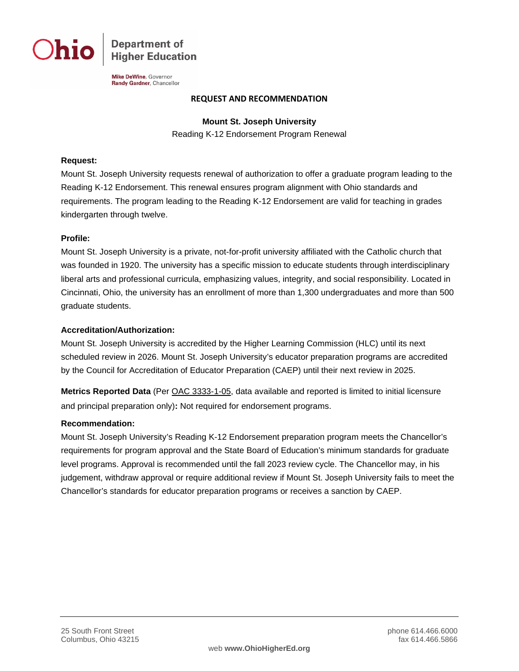**Department of Higher Education** 

Mike DeWine, Governor Randy Gardner, Chancellor

#### **REQUEST AND RECOMMENDATION**

**Mount St. Joseph University**

Reading K-12 Endorsement Program Renewal

## **Request:**

Mount St. Joseph University requests renewal of authorization to offer a graduate program leading to the Reading K-12 Endorsement. This renewal ensures program alignment with Ohio standards and requirements. The program leading to the Reading K-12 Endorsement are valid for teaching in grades kindergarten through twelve.

## **Profile:**

Mount St. Joseph University is a private, not-for-profit university affiliated with the Catholic church that was founded in 1920. The university has a specific mission to educate students through interdisciplinary liberal arts and professional curricula, emphasizing values, integrity, and social responsibility. Located in Cincinnati, Ohio, the university has an enrollment of more than 1,300 undergraduates and more than 500 graduate students.

#### **Accreditation/Authorization:**

Mount St. Joseph University is accredited by the Higher Learning Commission (HLC) until its next scheduled review in 2026. Mount St. Joseph University's educator preparation programs are accredited by the Council for Accreditation of Educator Preparation (CAEP) until their next review in 2025.

**Metrics Reported Data** (Per [OAC 3333-1-05,](http://codes.ohio.gov/oac/3333-1-05) data available and reported is limited to initial licensure and principal preparation only)**:** Not required for endorsement programs.

#### **Recommendation:**

Mount St. Joseph University's Reading K-12 Endorsement preparation program meets the Chancellor's requirements for program approval and the State Board of Education's minimum standards for graduate level programs. Approval is recommended until the fall 2023 review cycle. The Chancellor may, in his judgement, withdraw approval or require additional review if Mount St. Joseph University fails to meet the Chancellor's standards for educator preparation programs or receives a sanction by CAEP.